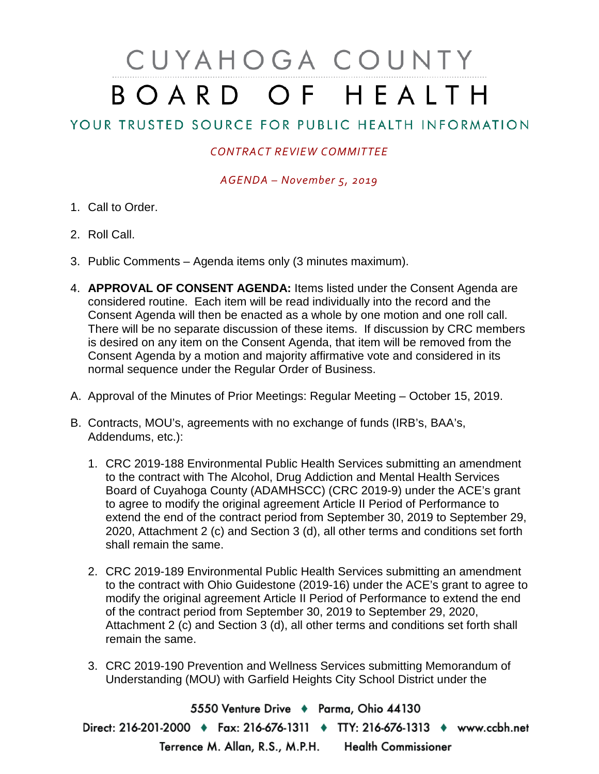## CUYAHOGA COUNTY BOARD OF HEALTH

## YOUR TRUSTED SOURCE FOR PUBLIC HEALTH INFORMATION

## *CONTRACT REVIEW COMMITTEE*

*AGENDA – November 5, 2019*

- 1. Call to Order.
- 2. Roll Call.
- 3. Public Comments Agenda items only (3 minutes maximum).
- 4. **APPROVAL OF CONSENT AGENDA:** Items listed under the Consent Agenda are considered routine. Each item will be read individually into the record and the Consent Agenda will then be enacted as a whole by one motion and one roll call. There will be no separate discussion of these items. If discussion by CRC members is desired on any item on the Consent Agenda, that item will be removed from the Consent Agenda by a motion and majority affirmative vote and considered in its normal sequence under the Regular Order of Business.
- A. Approval of the Minutes of Prior Meetings: Regular Meeting October 15, 2019.
- B. Contracts, MOU's, agreements with no exchange of funds (IRB's, BAA's, Addendums, etc.):
	- 1. CRC 2019-188 Environmental Public Health Services submitting an amendment to the contract with The Alcohol, Drug Addiction and Mental Health Services Board of Cuyahoga County (ADAMHSCC) (CRC 2019-9) under the ACE's grant to agree to modify the original agreement Article II Period of Performance to extend the end of the contract period from September 30, 2019 to September 29, 2020, Attachment 2 (c) and Section 3 (d), all other terms and conditions set forth shall remain the same.
	- 2. CRC 2019-189 Environmental Public Health Services submitting an amendment to the contract with Ohio Guidestone (2019-16) under the ACE's grant to agree to modify the original agreement Article II Period of Performance to extend the end of the contract period from September 30, 2019 to September 29, 2020, Attachment 2 (c) and Section 3 (d), all other terms and conditions set forth shall remain the same.
	- 3. CRC 2019-190 Prevention and Wellness Services submitting Memorandum of Understanding (MOU) with Garfield Heights City School District under the

5550 Venture Drive + Parma, Ohio 44130 Direct: 216-201-2000 • Fax: 216-676-1311 • TTY: 216-676-1313 • www.ccbh.net Terrence M. Allan, R.S., M.P.H. Health Commissioner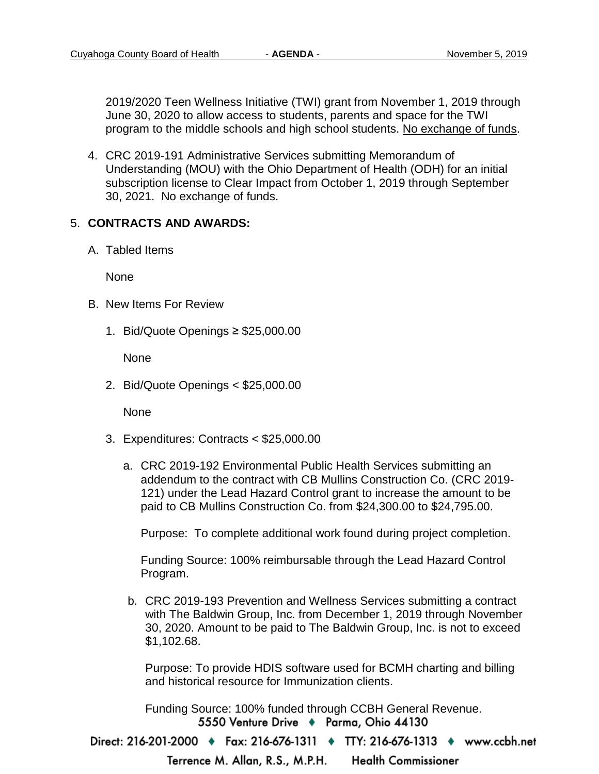2019/2020 Teen Wellness Initiative (TWI) grant from November 1, 2019 through June 30, 2020 to allow access to students, parents and space for the TWI program to the middle schools and high school students. No exchange of funds.

4. CRC 2019-191 Administrative Services submitting Memorandum of Understanding (MOU) with the Ohio Department of Health (ODH) for an initial subscription license to Clear Impact from October 1, 2019 through September 30, 2021. No exchange of funds.

## 5. **CONTRACTS AND AWARDS:**

A. Tabled Items

None

- B. New Items For Review
	- 1. Bid/Quote Openings ≥ \$25,000.00

None

2. Bid/Quote Openings < \$25,000.00

None

- 3. Expenditures: Contracts < \$25,000.00
	- a. CRC 2019-192 Environmental Public Health Services submitting an addendum to the contract with CB Mullins Construction Co. (CRC 2019- 121) under the Lead Hazard Control grant to increase the amount to be paid to CB Mullins Construction Co. from \$24,300.00 to \$24,795.00.

Purpose: To complete additional work found during project completion.

Funding Source: 100% reimbursable through the Lead Hazard Control Program.

b. CRC 2019-193 Prevention and Wellness Services submitting a contract with The Baldwin Group, Inc. from December 1, 2019 through November 30, 2020. Amount to be paid to The Baldwin Group, Inc. is not to exceed \$1,102.68.

Purpose: To provide HDIS software used for BCMH charting and billing and historical resource for Immunization clients.

Funding Source: 100% funded through CCBH General Revenue.5550 Venture Drive + Parma, Ohio 44130

Direct: 216-201-2000 ♦ Fax: 216-676-1311 ♦ TTY: 216-676-1313 ♦ www.ccbh.net

**Health Commissioner** Terrence M. Allan, R.S., M.P.H.